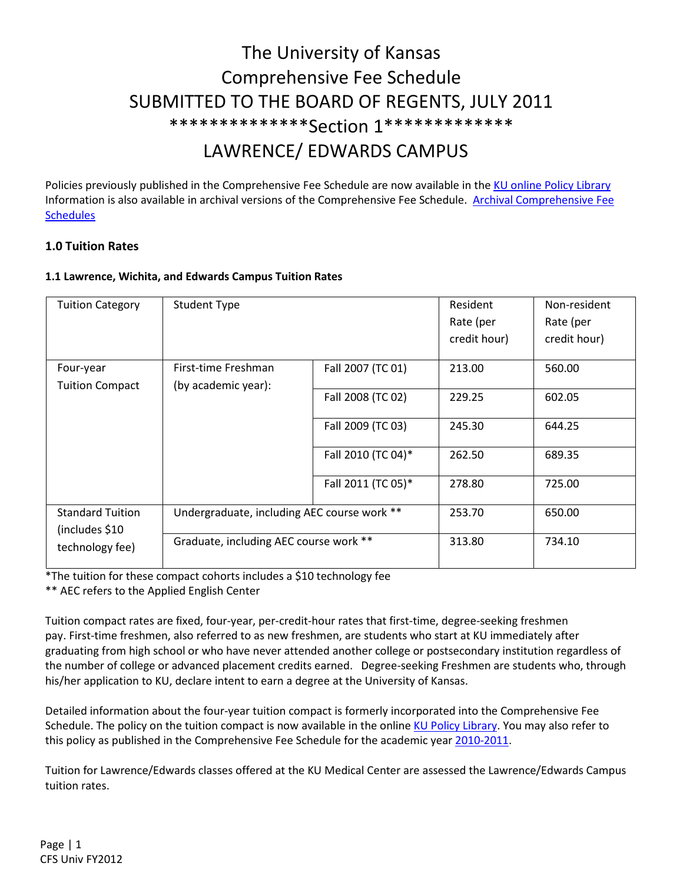# The University of Kansas Comprehensive Fee Schedule SUBMITTED TO THE BOARD OF REGENTS, JULY 2011 \*\*\*\*\*\*\*\*\*\*\*\*\*\*Section 1\*\*\*\*\*\*\*\*\*\*\*\*\* LAWRENCE/ EDWARDS CAMPUS

Policies previously published in the Comprehensive Fee Schedule are now available in the KU online Policy Library Information is also available in archival versions of the Comprehensive Fee Schedule. Archival Comprehensive Fee **Schedules** 

# 1.0 Tuition Rates

# 1.1 Lawrence, Wichita, and Edwards Campus Tuition Rates

| <b>Tuition Category</b>                                                                  | <b>Student Type</b>                    |                    | Resident     | Non-resident |
|------------------------------------------------------------------------------------------|----------------------------------------|--------------------|--------------|--------------|
|                                                                                          |                                        |                    | Rate (per    | Rate (per    |
|                                                                                          |                                        |                    | credit hour) | credit hour) |
| Four-year                                                                                | First-time Freshman                    | Fall 2007 (TC 01)  | 213.00       | 560.00       |
| <b>Tuition Compact</b>                                                                   | (by academic year):                    |                    |              |              |
|                                                                                          |                                        | Fall 2008 (TC 02)  | 229.25       | 602.05       |
|                                                                                          |                                        | Fall 2009 (TC 03)  | 245.30       | 644.25       |
|                                                                                          |                                        | Fall 2010 (TC 04)* | 262.50       | 689.35       |
|                                                                                          |                                        | Fall 2011 (TC 05)* | 278.80       | 725.00       |
| Undergraduate, including AEC course work **<br><b>Standard Tuition</b><br>(includes \$10 |                                        |                    | 253.70       | 650.00       |
| technology fee)                                                                          | Graduate, including AEC course work ** |                    | 313.80       | 734.10       |

\*The tuition for these compact cohorts includes a \$10 technology fee

\*\* AEC refers to the Applied English Center

Tuition compact rates are fixed, four-year, per-credit-hour rates that first-time, degree-seeking freshmen pay. First-time freshmen, also referred to as new freshmen, are students who start at KU immediately after graduating from high school or who have never attended another college or postsecondary institution regardless of the number of college or advanced placement credits earned. Degree-seeking Freshmen are students who, through his/her application to KU, declare intent to earn a degree at the University of Kansas.

Detailed information about the four-year tuition compact is formerly incorporated into the Comprehensive Fee Schedule. The policy on the tuition compact is now available in the online KU Policy Library. You may also refer to this policy as published in the Comprehensive Fee Schedule for the academic year 2010-2011.

Tuition for Lawrence/Edwards classes offered at the KU Medical Center are assessed the Lawrence/Edwards Campus tuition rates.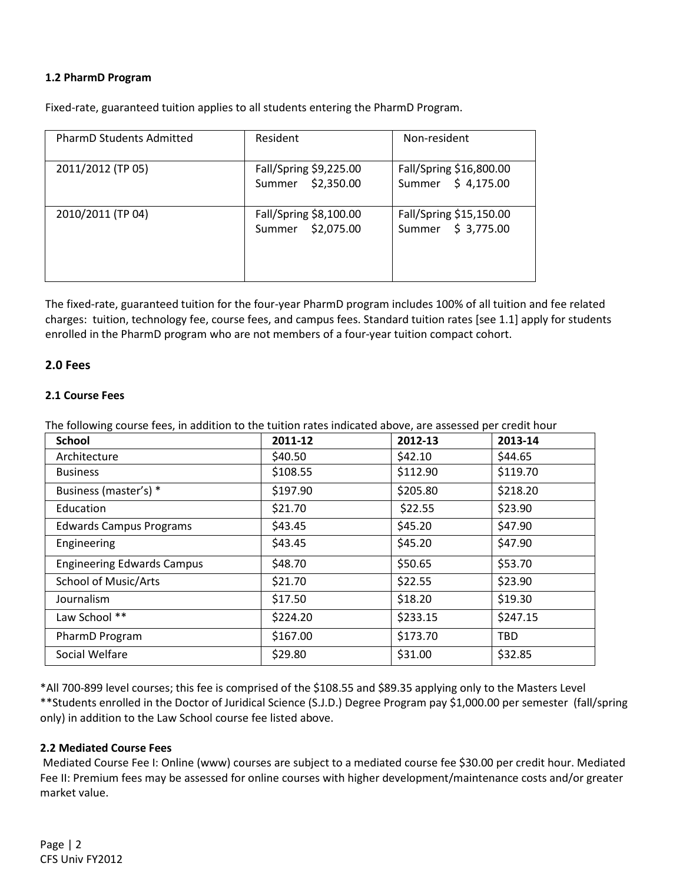#### 1.2 PharmD Program

Fixed-rate, guaranteed tuition applies to all students entering the PharmD Program.

| <b>PharmD Students Admitted</b> | Resident                                    | Non-resident                                  |
|---------------------------------|---------------------------------------------|-----------------------------------------------|
| 2011/2012 (TP 05)               | Fall/Spring \$9,225.00<br>Summer \$2,350.00 | Fall/Spring \$16,800.00<br>Summer \$4,175.00  |
| 2010/2011 (TP 04)               | Fall/Spring \$8,100.00<br>Summer \$2,075.00 | Fall/Spring \$15,150.00<br>Summer \$ 3,775.00 |

The fixed-rate, guaranteed tuition for the four-year PharmD program includes 100% of all tuition and fee related charges: tuition, technology fee, course fees, and campus fees. Standard tuition rates [see 1.1] apply for students enrolled in the PharmD program who are not members of a four-year tuition compact cohort.

#### 2.0 Fees

#### 2.1 Course Fees

The following course fees, in addition to the tuition rates indicated above, are assessed per credit hour

| <b>School</b>                     | 2011-12  | 2012-13  | 2013-14    |
|-----------------------------------|----------|----------|------------|
| Architecture                      | \$40.50  | \$42.10  | \$44.65    |
| <b>Business</b>                   | \$108.55 | \$112.90 | \$119.70   |
| Business (master's) *             | \$197.90 | \$205.80 | \$218.20   |
| Education                         | \$21.70  | \$22.55  | \$23.90    |
| <b>Edwards Campus Programs</b>    | \$43.45  | \$45.20  | \$47.90    |
| Engineering                       | \$43.45  | \$45.20  | \$47.90    |
| <b>Engineering Edwards Campus</b> | \$48.70  | \$50.65  | \$53.70    |
| <b>School of Music/Arts</b>       | \$21.70  | \$22.55  | \$23.90    |
| Journalism                        | \$17.50  | \$18.20  | \$19.30    |
| Law School **                     | \$224.20 | \$233.15 | \$247.15   |
| PharmD Program                    | \$167.00 | \$173.70 | <b>TBD</b> |
| Social Welfare                    | \$29.80  | \$31.00  | \$32.85    |

\*All 700-899 level courses; this fee is comprised of the \$108.55 and \$89.35 applying only to the Masters Level \*\*Students enrolled in the Doctor of Juridical Science (S.J.D.) Degree Program pay \$1,000.00 per semester (fall/spring only) in addition to the Law School course fee listed above.

#### 2.2 Mediated Course Fees

 Mediated Course Fee I: Online (www) courses are subject to a mediated course fee \$30.00 per credit hour. Mediated Fee II: Premium fees may be assessed for online courses with higher development/maintenance costs and/or greater market value.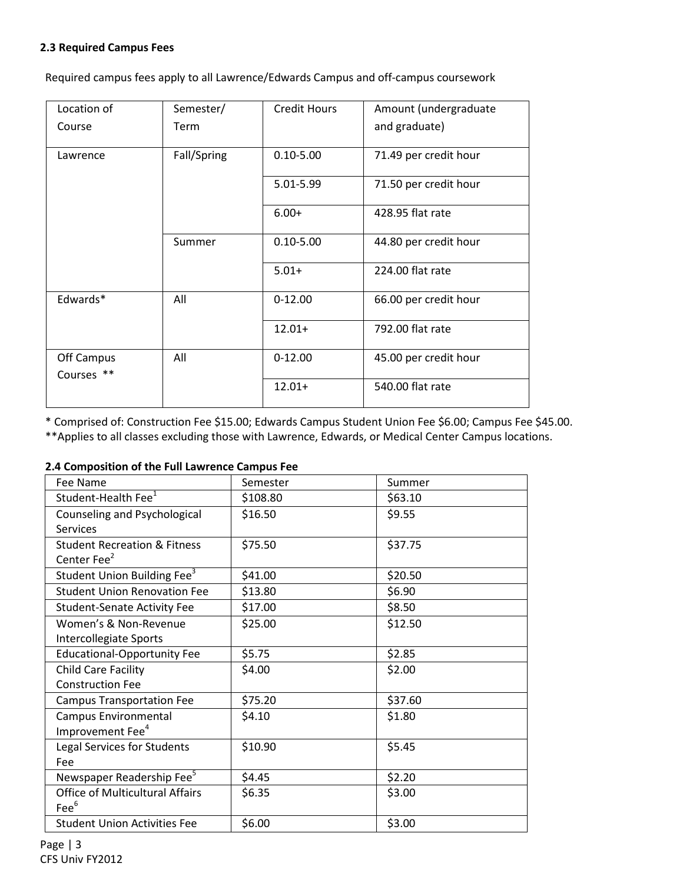#### 2.3 Required Campus Fees

Required campus fees apply to all Lawrence/Edwards Campus and off-campus coursework

| Location of              | Semester/   | <b>Credit Hours</b> | Amount (undergraduate |
|--------------------------|-------------|---------------------|-----------------------|
| Course                   | Term        |                     | and graduate)         |
| Lawrence                 | Fall/Spring | $0.10 - 5.00$       | 71.49 per credit hour |
|                          |             | 5.01-5.99           | 71.50 per credit hour |
|                          |             | $6.00+$             | 428.95 flat rate      |
|                          | Summer      | $0.10 - 5.00$       | 44.80 per credit hour |
|                          |             | $5.01+$             | 224.00 flat rate      |
| Edwards*                 | All         | $0-12.00$           | 66.00 per credit hour |
|                          |             | $12.01+$            | 792.00 flat rate      |
| Off Campus<br>Courses ** | All         | $0 - 12.00$         | 45.00 per credit hour |
|                          |             | $12.01+$            | 540.00 flat rate      |

\* Comprised of: Construction Fee \$15.00; Edwards Campus Student Union Fee \$6.00; Campus Fee \$45.00.

\*\*Applies to all classes excluding those with Lawrence, Edwards, or Medical Center Campus locations.

#### 2.4 Composition of the Full Lawrence Campus Fee

| Fee Name                                | Semester | Summer  |
|-----------------------------------------|----------|---------|
| Student-Health Fee <sup>1</sup>         | \$108.80 | \$63.10 |
| Counseling and Psychological            | \$16.50  | \$9.55  |
| <b>Services</b>                         |          |         |
| <b>Student Recreation &amp; Fitness</b> | \$75.50  | \$37.75 |
| Center Fee <sup>2</sup>                 |          |         |
| Student Union Building Fee <sup>3</sup> | \$41.00  | \$20.50 |
| <b>Student Union Renovation Fee</b>     | \$13.80  | \$6.90  |
| <b>Student-Senate Activity Fee</b>      | \$17.00  | \$8.50  |
| Women's & Non-Revenue                   | \$25.00  | \$12.50 |
| Intercollegiate Sports                  |          |         |
| <b>Educational-Opportunity Fee</b>      | \$5.75   | \$2.85  |
| Child Care Facility                     | \$4.00   | \$2.00  |
| <b>Construction Fee</b>                 |          |         |
| <b>Campus Transportation Fee</b>        | \$75.20  | \$37.60 |
| Campus Environmental                    | \$4.10   | \$1.80  |
| Improvement Fee <sup>4</sup>            |          |         |
| Legal Services for Students             | \$10.90  | \$5.45  |
| Fee                                     |          |         |
| Newspaper Readership Fee <sup>5</sup>   | \$4.45   | \$2.20  |
| <b>Office of Multicultural Affairs</b>  | \$6.35   | \$3.00  |
| $\text{Fe}^6$                           |          |         |
| <b>Student Union Activities Fee</b>     | \$6.00   | \$3.00  |

Page | 3 CFS Univ FY2012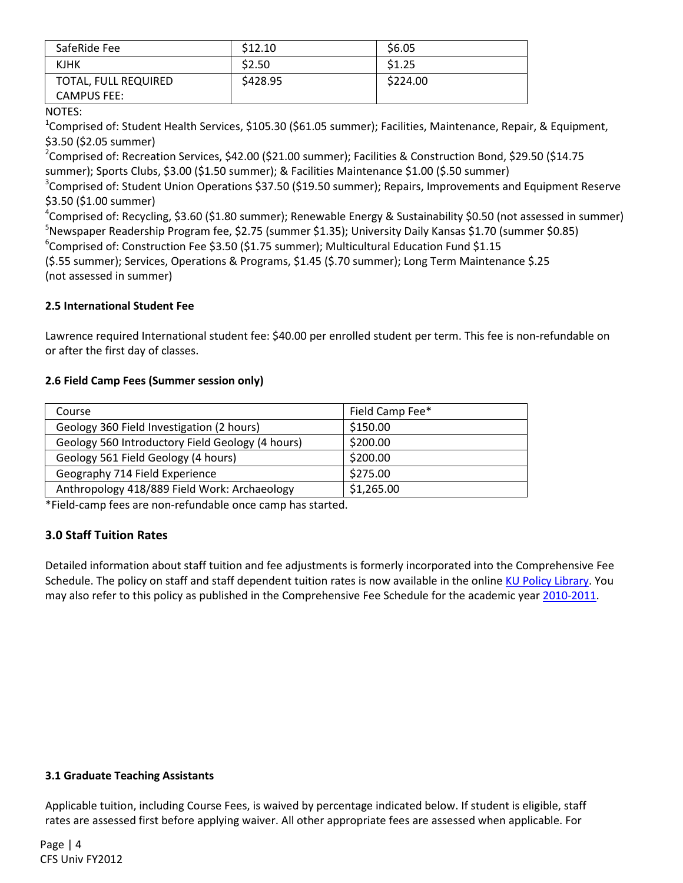| SafeRide Fee                               | \$12.10 | \$6.05   |
|--------------------------------------------|---------|----------|
| <b>KJHK</b>                                | \$2.50  | \$1.25   |
| TOTAL, FULL REQUIRED<br><b>CAMPUS FEE:</b> | S428.95 | \$224.00 |

NOTES:

<sup>1</sup>Comprised of: Student Health Services, \$105.30 (\$61.05 summer); Facilities, Maintenance, Repair, & Equipment, \$3.50 (\$2.05 summer)

<sup>2</sup>Comprised of: Recreation Services, \$42.00 (\$21.00 summer); Facilities & Construction Bond, \$29.50 (\$14.75 summer); Sports Clubs, \$3.00 (\$1.50 summer); & Facilities Maintenance \$1.00 (\$.50 summer)

<sup>3</sup>Comprised of: Student Union Operations \$37.50 (\$19.50 summer); Repairs, Improvements and Equipment Reserve \$3.50 (\$1.00 summer)

4 Comprised of: Recycling, \$3.60 (\$1.80 summer); Renewable Energy & Sustainability \$0.50 (not assessed in summer)  $^5$ Newspaper Readership Program fee, \$2.75 (summer \$1.35); University Daily Kansas \$1.70 (summer \$0.85)

6 Comprised of: Construction Fee \$3.50 (\$1.75 summer); Multicultural Education Fund \$1.15

(\$.55 summer); Services, Operations & Programs, \$1.45 (\$.70 summer); Long Term Maintenance \$.25 (not assessed in summer)

# 2.5 International Student Fee

Lawrence required International student fee: \$40.00 per enrolled student per term. This fee is non-refundable on or after the first day of classes.

# 2.6 Field Camp Fees (Summer session only)

| Course                                           | Field Camp Fee* |
|--------------------------------------------------|-----------------|
| Geology 360 Field Investigation (2 hours)        | \$150.00        |
| Geology 560 Introductory Field Geology (4 hours) | \$200.00        |
| Geology 561 Field Geology (4 hours)              | \$200.00        |
| Geography 714 Field Experience                   | \$275.00        |
| Anthropology 418/889 Field Work: Archaeology     | \$1,265.00      |

\*Field-camp fees are non-refundable once camp has started.

# 3.0 Staff Tuition Rates

Detailed information about staff tuition and fee adjustments is formerly incorporated into the Comprehensive Fee Schedule. The policy on staff and staff dependent tuition rates is now available in the online KU Policy Library. You may also refer to this policy as published in the Comprehensive Fee Schedule for the academic year 2010-2011.

# 3.1 Graduate Teaching Assistants

Applicable tuition, including Course Fees, is waived by percentage indicated below. If student is eligible, staff rates are assessed first before applying waiver. All other appropriate fees are assessed when applicable. For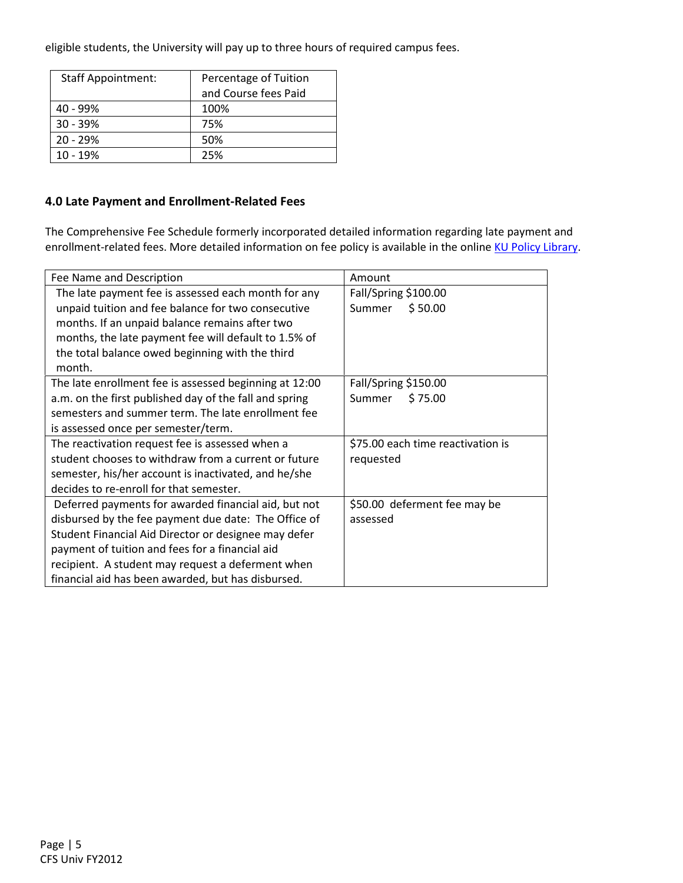eligible students, the University will pay up to three hours of required campus fees.

| <b>Staff Appointment:</b> | Percentage of Tuition |
|---------------------------|-----------------------|
|                           | and Course fees Paid  |
| $40 - 99%$                | 100%                  |
| $30 - 39%$                | 75%                   |
| $20 - 29%$                | 50%                   |
| $10 - 19%$                | 25%                   |

# 4.0 Late Payment and Enrollment-Related Fees

The Comprehensive Fee Schedule formerly incorporated detailed information regarding late payment and enrollment-related fees. More detailed information on fee policy is available in the online KU Policy Library.

| Fee Name and Description                               | Amount                            |
|--------------------------------------------------------|-----------------------------------|
| The late payment fee is assessed each month for any    | Fall/Spring \$100.00              |
| unpaid tuition and fee balance for two consecutive     | \$50.00<br>Summer                 |
| months. If an unpaid balance remains after two         |                                   |
| months, the late payment fee will default to 1.5% of   |                                   |
| the total balance owed beginning with the third        |                                   |
| month.                                                 |                                   |
| The late enrollment fee is assessed beginning at 12:00 | Fall/Spring \$150.00              |
| a.m. on the first published day of the fall and spring | \$75.00<br>Summer                 |
| semesters and summer term. The late enrollment fee     |                                   |
| is assessed once per semester/term.                    |                                   |
| The reactivation request fee is assessed when a        | \$75.00 each time reactivation is |
| student chooses to withdraw from a current or future   | requested                         |
| semester, his/her account is inactivated, and he/she   |                                   |
| decides to re-enroll for that semester.                |                                   |
| Deferred payments for awarded financial aid, but not   | \$50.00 deferment fee may be      |
| disbursed by the fee payment due date: The Office of   | assessed                          |
| Student Financial Aid Director or designee may defer   |                                   |
| payment of tuition and fees for a financial aid        |                                   |
| recipient. A student may request a deferment when      |                                   |
| financial aid has been awarded, but has disbursed.     |                                   |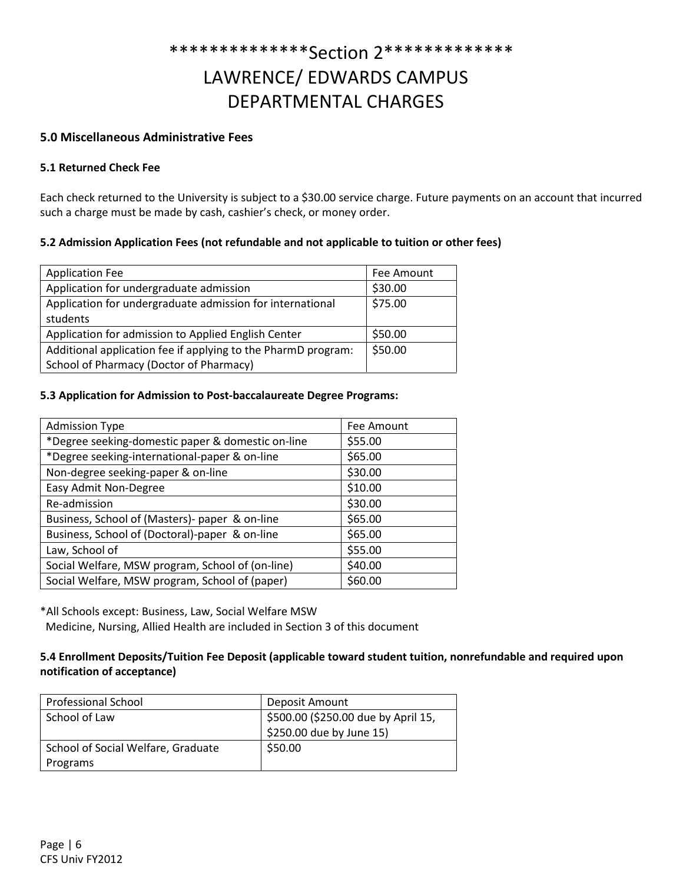# \*\*\*\*\*\*\*\*\*\*\*\*\*\*Section 2\*\*\*\*\*\*\*\*\*\*\*\*\* LAWRENCE/ EDWARDS CAMPUS DEPARTMENTAL CHARGES

# 5.0 Miscellaneous Administrative Fees

#### 5.1 Returned Check Fee

Each check returned to the University is subject to a \$30.00 service charge. Future payments on an account that incurred such a charge must be made by cash, cashier's check, or money order.

### 5.2 Admission Application Fees (not refundable and not applicable to tuition or other fees)

| <b>Application Fee</b>                                        | Fee Amount |
|---------------------------------------------------------------|------------|
| Application for undergraduate admission                       | \$30.00    |
| Application for undergraduate admission for international     | \$75.00    |
| students                                                      |            |
| Application for admission to Applied English Center           | \$50.00    |
| Additional application fee if applying to the PharmD program: | \$50.00    |
| School of Pharmacy (Doctor of Pharmacy)                       |            |

#### 5.3 Application for Admission to Post-baccalaureate Degree Programs:

| <b>Admission Type</b>                             | Fee Amount |
|---------------------------------------------------|------------|
| *Degree seeking-domestic paper & domestic on-line | \$55.00    |
| *Degree seeking-international-paper & on-line     | \$65.00    |
| Non-degree seeking-paper & on-line                | \$30.00    |
| Easy Admit Non-Degree                             | \$10.00    |
| Re-admission                                      | \$30.00    |
| Business, School of (Masters)- paper & on-line    | \$65.00    |
| Business, School of (Doctoral)-paper & on-line    | \$65.00    |
| Law, School of                                    | \$55.00    |
| Social Welfare, MSW program, School of (on-line)  | \$40.00    |
| Social Welfare, MSW program, School of (paper)    | \$60.00    |

\*All Schools except: Business, Law, Social Welfare MSW

Medicine, Nursing, Allied Health are included in Section 3 of this document

### 5.4 Enrollment Deposits/Tuition Fee Deposit (applicable toward student tuition, nonrefundable and required upon notification of acceptance)

| <b>Professional School</b>         | Deposit Amount                      |
|------------------------------------|-------------------------------------|
| School of Law                      | \$500.00 (\$250.00 due by April 15, |
|                                    | \$250.00 due by June 15)            |
| School of Social Welfare, Graduate | \$50.00                             |
| Programs                           |                                     |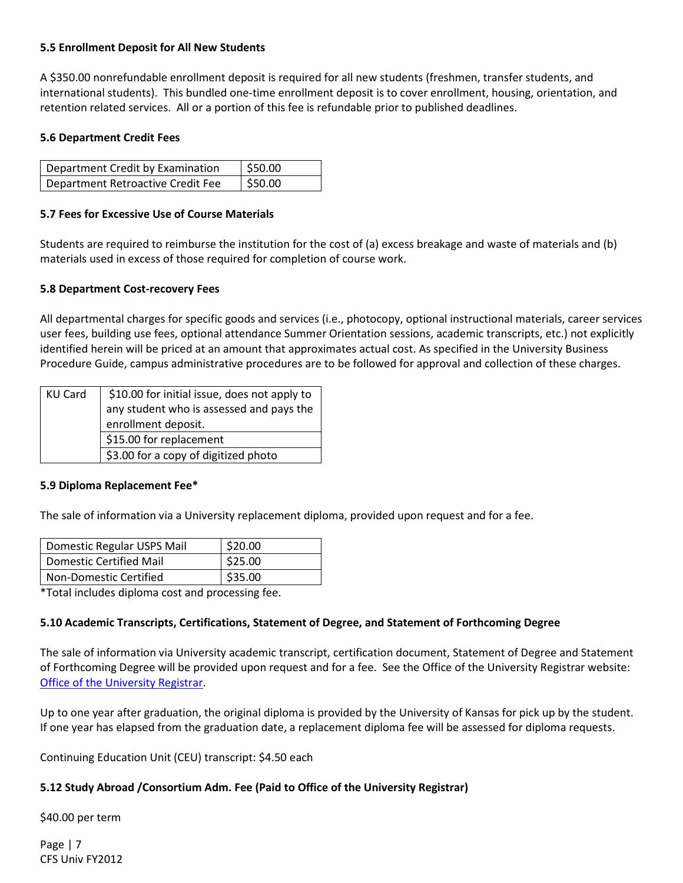#### 5.5 Enrollment Deposit for All New Students

A \$350.00 nonrefundable enrollment deposit is required for all new students (freshmen, transfer students, and international students). This bundled one-time enrollment deposit is to cover enrollment, housing, orientation, and retention related services. All or a portion of this fee is refundable prior to published deadlines.

#### 5.6 Department Credit Fees

| Department Credit by Examination  | 550.00 |
|-----------------------------------|--------|
| Department Retroactive Credit Fee | 550.00 |

### 5.7 Fees for Excessive Use of Course Materials

Students are required to reimburse the institution for the cost of (a) excess breakage and waste of materials and (b) materials used in excess of those required for completion of course work.

#### 5.8 Department Cost-recovery Fees

All departmental charges for specific goods and services (i.e., photocopy, optional instructional materials, career services user fees, building use fees, optional attendance Summer Orientation sessions, academic transcripts, etc.) not explicitly identified herein will be priced at an amount that approximates actual cost. As specified in the University Business Procedure Guide, campus administrative procedures are to be followed for approval and collection of these charges.

| KU Card | \$10.00 for initial issue, does not apply to |
|---------|----------------------------------------------|
|         | any student who is assessed and pays the     |
|         | enrollment deposit.                          |
|         | \$15.00 for replacement                      |
|         | \$3.00 for a copy of digitized photo         |

#### 5.9 Diploma Replacement Fee\*

The sale of information via a University replacement diploma, provided upon request and for a fee.

| Domestic Regular USPS Mail | \$20.00 |
|----------------------------|---------|
| Domestic Certified Mail    | \$25.00 |
| Non-Domestic Certified     | \$35.00 |

\*Total includes diploma cost and processing fee.

# 5.10 Academic Transcripts, Certifications, Statement of Degree, and Statement of Forthcoming Degree

The sale of information via University academic transcript, certification document, Statement of Degree and Statement of Forthcoming Degree will be provided upon request and for a fee. See the Office of the University Registrar website: Office of the University Registrar.

Up to one year after graduation, the original diploma is provided by the University of Kansas for pick up by the student. If one year has elapsed from the graduation date, a replacement diploma fee will be assessed for diploma requests.

Continuing Education Unit (CEU) transcript: \$4.50 each

# 5.12 Study Abroad /Consortium Adm. Fee (Paid to Office of the University Registrar)

\$40.00 per term

Page | 7 CFS Univ FY2012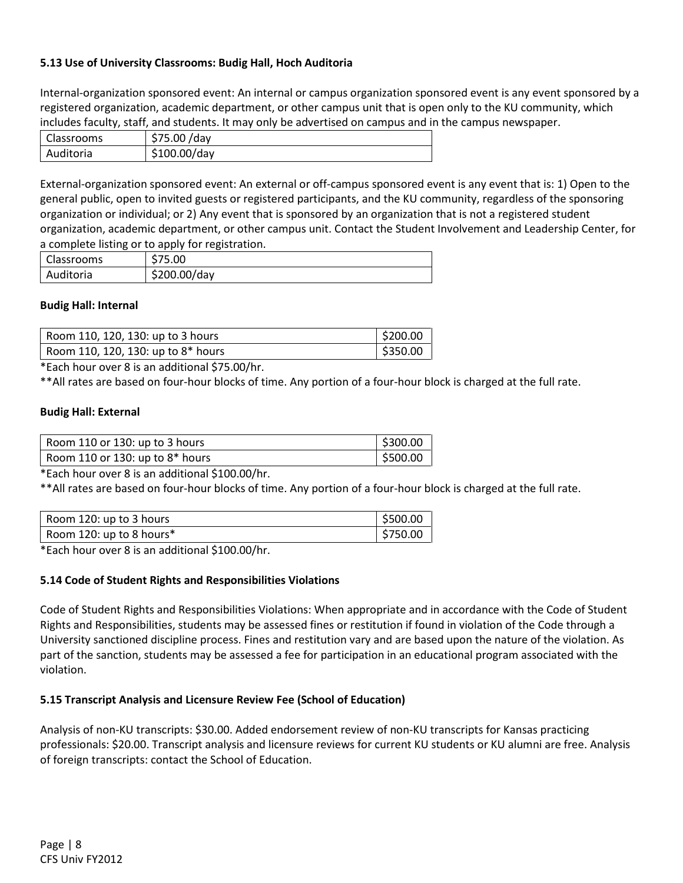# 5.13 Use of University Classrooms: Budig Hall, Hoch Auditoria

Internal-organization sponsored event: An internal or campus organization sponsored event is any event sponsored by a registered organization, academic department, or other campus unit that is open only to the KU community, which includes faculty, staff, and students. It may only be advertised on campus and in the campus newspaper.

| Classrooms | \$75.00 /day |
|------------|--------------|
| Auditoria  | \$100.00/day |

External-organization sponsored event: An external or off-campus sponsored event is any event that is: 1) Open to the general public, open to invited guests or registered participants, and the KU community, regardless of the sponsoring organization or individual; or 2) Any event that is sponsored by an organization that is not a registered student organization, academic department, or other campus unit. Contact the Student Involvement and Leadership Center, for a complete listing or to apply for registration.

| Classrooms | \$75.00      |
|------------|--------------|
| Auditoria  | \$200.00/day |

#### Budig Hall: Internal

| Room 110, 120, 130: up to 3 hours  | \$200.00 |
|------------------------------------|----------|
| Room 110, 120, 130: up to 8* hours | \$350.00 |

\*Each hour over 8 is an additional \$75.00/hr.

\*\*All rates are based on four-hour blocks of time. Any portion of a four-hour block is charged at the full rate.

#### Budig Hall: External

| Room 110 or 130: up to 3 hours  | $ $ \$300.00 |
|---------------------------------|--------------|
| Room 110 or 130: up to 8* hours | \$500.00     |

\*Each hour over 8 is an additional \$100.00/hr.

\*\*All rates are based on four-hour blocks of time. Any portion of a four-hour block is charged at the full rate.

| Room 120: up to 3 hours  | \$500.00 |
|--------------------------|----------|
| Room 120: up to 8 hours* | \$750.00 |

\*Each hour over 8 is an additional \$100.00/hr.

#### 5.14 Code of Student Rights and Responsibilities Violations

Code of Student Rights and Responsibilities Violations: When appropriate and in accordance with the Code of Student Rights and Responsibilities, students may be assessed fines or restitution if found in violation of the Code through a University sanctioned discipline process. Fines and restitution vary and are based upon the nature of the violation. As part of the sanction, students may be assessed a fee for participation in an educational program associated with the violation.

#### 5.15 Transcript Analysis and Licensure Review Fee (School of Education)

Analysis of non-KU transcripts: \$30.00. Added endorsement review of non-KU transcripts for Kansas practicing professionals: \$20.00. Transcript analysis and licensure reviews for current KU students or KU alumni are free. Analysis of foreign transcripts: contact the School of Education.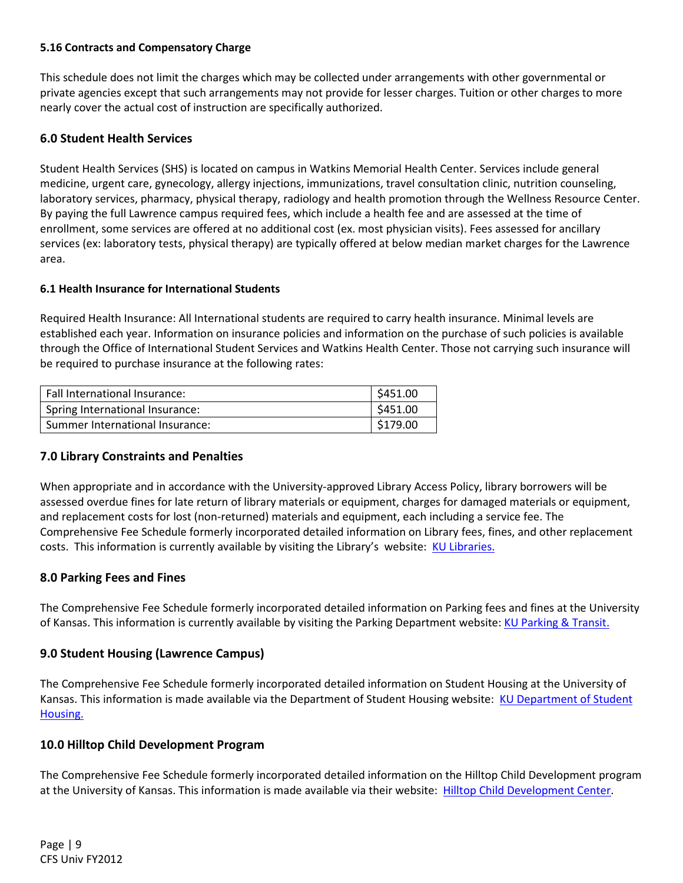### 5.16 Contracts and Compensatory Charge

This schedule does not limit the charges which may be collected under arrangements with other governmental or private agencies except that such arrangements may not provide for lesser charges. Tuition or other charges to more nearly cover the actual cost of instruction are specifically authorized.

# 6.0 Student Health Services

Student Health Services (SHS) is located on campus in Watkins Memorial Health Center. Services include general medicine, urgent care, gynecology, allergy injections, immunizations, travel consultation clinic, nutrition counseling, laboratory services, pharmacy, physical therapy, radiology and health promotion through the Wellness Resource Center. By paying the full Lawrence campus required fees, which include a health fee and are assessed at the time of enrollment, some services are offered at no additional cost (ex. most physician visits). Fees assessed for ancillary services (ex: laboratory tests, physical therapy) are typically offered at below median market charges for the Lawrence area.

#### 6.1 Health Insurance for International Students

Required Health Insurance: All International students are required to carry health insurance. Minimal levels are established each year. Information on insurance policies and information on the purchase of such policies is available through the Office of International Student Services and Watkins Health Center. Those not carrying such insurance will be required to purchase insurance at the following rates:

| Fall International Insurance:   | \$451.00 |
|---------------------------------|----------|
| Spring International Insurance: | \$451.00 |
| Summer International Insurance: | \$179.00 |

# 7.0 Library Constraints and Penalties

When appropriate and in accordance with the University-approved Library Access Policy, library borrowers will be assessed overdue fines for late return of library materials or equipment, charges for damaged materials or equipment, and replacement costs for lost (non-returned) materials and equipment, each including a service fee. The Comprehensive Fee Schedule formerly incorporated detailed information on Library fees, fines, and other replacement costs. This information is currently available by visiting the Library's website: KU Libraries.

#### 8.0 Parking Fees and Fines

The Comprehensive Fee Schedule formerly incorporated detailed information on Parking fees and fines at the University of Kansas. This information is currently available by visiting the Parking Department website: KU Parking & Transit.

# 9.0 Student Housing (Lawrence Campus)

The Comprehensive Fee Schedule formerly incorporated detailed information on Student Housing at the University of Kansas. This information is made available via the Department of Student Housing website: KU Department of Student Housing.

#### 10.0 Hilltop Child Development Program

The Comprehensive Fee Schedule formerly incorporated detailed information on the Hilltop Child Development program at the University of Kansas. This information is made available via their website: Hilltop Child Development Center.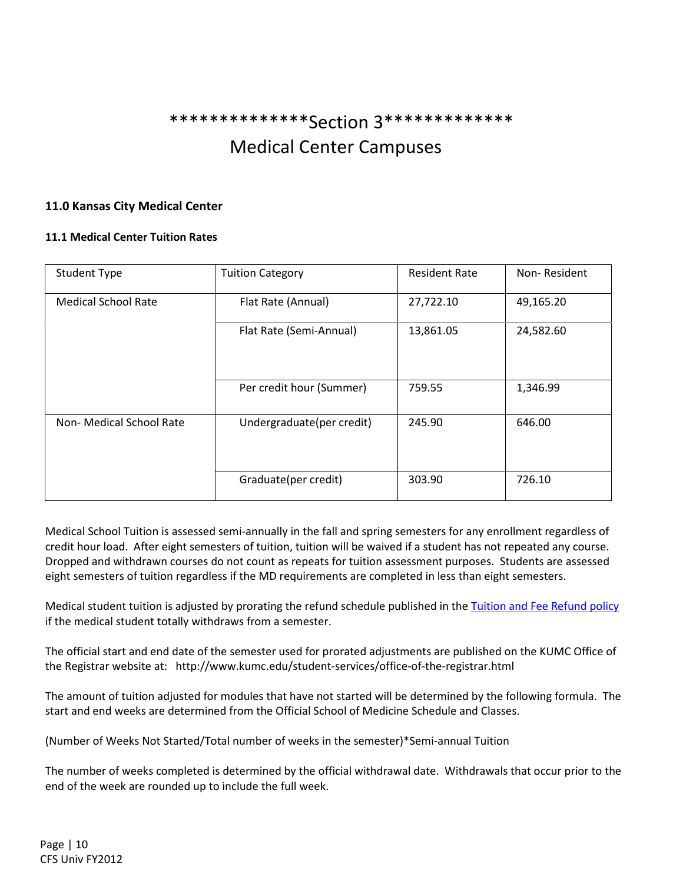# \*\*\*\*\*\*\*\*\*\*\*\*\*\*Section 3\*\*\*\*\*\*\*\*\*\*\*\*\* Medical Center Campuses

# 11.0 Kansas City Medical Center

### 11.1 Medical Center Tuition Rates

| <b>Student Type</b>        | <b>Tuition Category</b>   | <b>Resident Rate</b> | Non-Resident |
|----------------------------|---------------------------|----------------------|--------------|
| <b>Medical School Rate</b> | Flat Rate (Annual)        | 27,722.10            | 49,165.20    |
|                            | Flat Rate (Semi-Annual)   | 13,861.05            | 24,582.60    |
|                            | Per credit hour (Summer)  | 759.55               | 1,346.99     |
| Non-Medical School Rate    | Undergraduate(per credit) | 245.90               | 646.00       |
|                            | Graduate(per credit)      | 303.90               | 726.10       |

Medical School Tuition is assessed semi-annually in the fall and spring semesters for any enrollment regardless of credit hour load. After eight semesters of tuition, tuition will be waived if a student has not repeated any course. Dropped and withdrawn courses do not count as repeats for tuition assessment purposes. Students are assessed eight semesters of tuition regardless if the MD requirements are completed in less than eight semesters.

Medical student tuition is adjusted by prorating the refund schedule published in the Tuition and Fee Refund policy if the medical student totally withdraws from a semester.

The official start and end date of the semester used for prorated adjustments are published on the KUMC Office of the Registrar website at: http://www.kumc.edu/student-services/office-of-the-registrar.html

The amount of tuition adjusted for modules that have not started will be determined by the following formula. The start and end weeks are determined from the Official School of Medicine Schedule and Classes.

(Number of Weeks Not Started/Total number of weeks in the semester)\*Semi-annual Tuition

The number of weeks completed is determined by the official withdrawal date. Withdrawals that occur prior to the end of the week are rounded up to include the full week.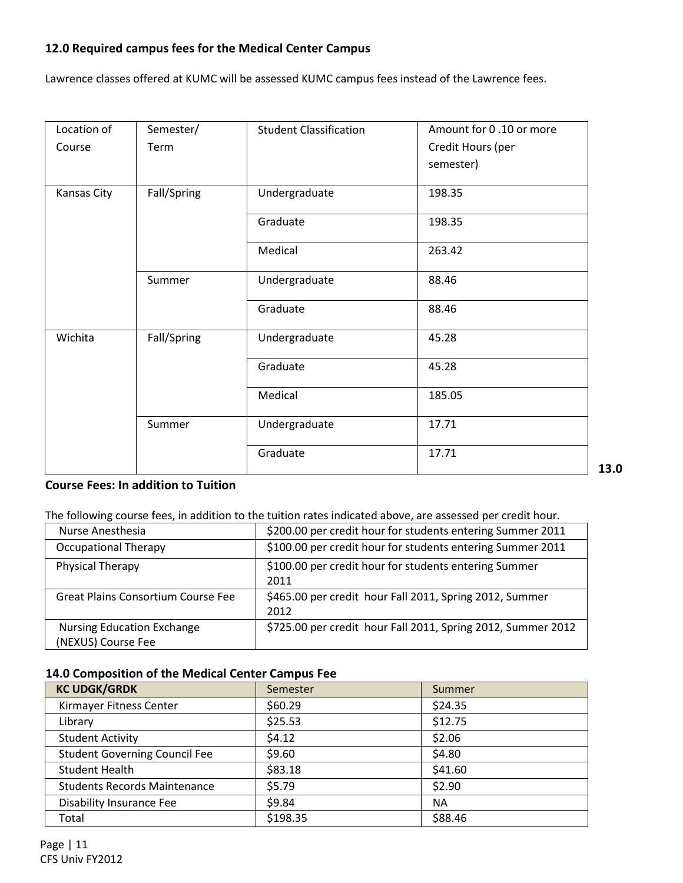# 12.0 Required campus fees for the Medical Center Campus

Lawrence classes offered at KUMC will be assessed KUMC campus fees instead of the Lawrence fees.

| Location of | Semester/   | <b>Student Classification</b> | Amount for 0.10 or more |
|-------------|-------------|-------------------------------|-------------------------|
| Course      | Term        |                               | Credit Hours (per       |
|             |             |                               | semester)               |
|             |             |                               |                         |
| Kansas City | Fall/Spring | Undergraduate                 | 198.35                  |
|             |             | Graduate                      | 198.35                  |
|             |             | Medical                       | 263.42                  |
|             | Summer      | Undergraduate                 | 88.46                   |
|             |             | Graduate                      | 88.46                   |
| Wichita     | Fall/Spring | Undergraduate                 | 45.28                   |
|             |             | Graduate                      | 45.28                   |
|             |             | Medical                       | 185.05                  |
|             | Summer      | Undergraduate                 | 17.71                   |
|             |             | Graduate                      | 17.71<br>13.0           |

# Course Fees: In addition to Tuition

The following course fees, in addition to the tuition rates indicated above, are assessed per credit hour.

| Nurse Anesthesia                                        | \$200.00 per credit hour for students entering Summer 2011      |
|---------------------------------------------------------|-----------------------------------------------------------------|
| <b>Occupational Therapy</b>                             | \$100.00 per credit hour for students entering Summer 2011      |
| Physical Therapy                                        | \$100.00 per credit hour for students entering Summer<br>2011   |
| <b>Great Plains Consortium Course Fee</b>               | \$465.00 per credit hour Fall 2011, Spring 2012, Summer<br>2012 |
| <b>Nursing Education Exchange</b><br>(NEXUS) Course Fee | \$725.00 per credit hour Fall 2011, Spring 2012, Summer 2012    |

# 14.0 Composition of the Medical Center Campus Fee

| <b>KC UDGK/GRDK</b>                  | Semester | Summer    |
|--------------------------------------|----------|-----------|
| Kirmayer Fitness Center              | \$60.29  | \$24.35   |
| Library                              | \$25.53  | \$12.75   |
| <b>Student Activity</b>              | \$4.12   | \$2.06    |
| <b>Student Governing Council Fee</b> | \$9.60   | \$4.80    |
| <b>Student Health</b>                | \$83.18  | \$41.60   |
| <b>Students Records Maintenance</b>  | \$5.79   | \$2.90    |
| <b>Disability Insurance Fee</b>      | \$9.84   | <b>NA</b> |
| Total                                | \$198.35 | \$88.46   |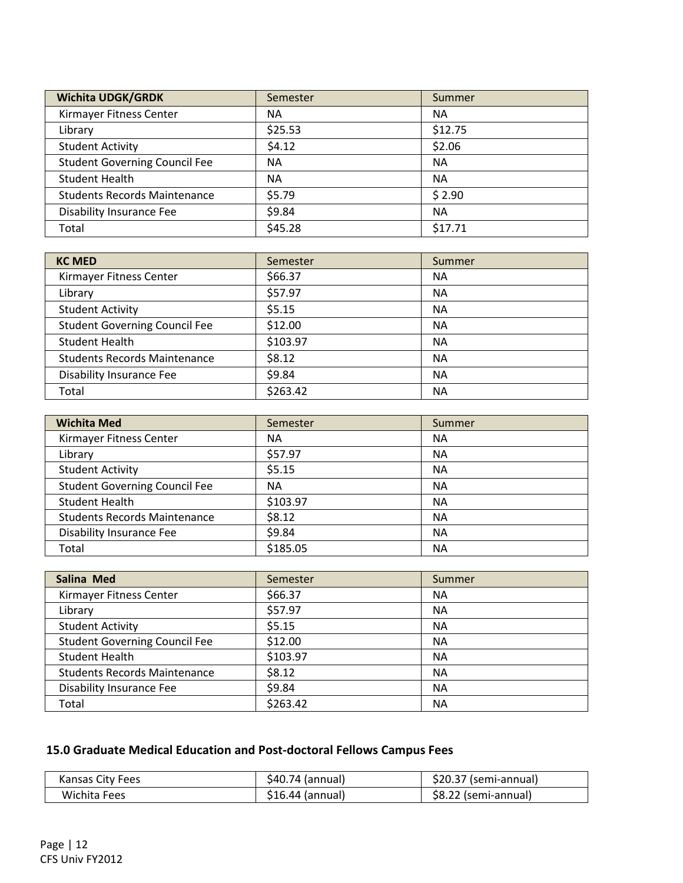| <b>Wichita UDGK/GRDK</b>             | Semester  | Summer    |
|--------------------------------------|-----------|-----------|
| Kirmayer Fitness Center              | ΝA        | NА        |
| Library                              | \$25.53   | \$12.75   |
| <b>Student Activity</b>              | \$4.12    | \$2.06    |
| <b>Student Governing Council Fee</b> | <b>NA</b> | <b>NA</b> |
| <b>Student Health</b>                | <b>NA</b> | <b>NA</b> |
| <b>Students Records Maintenance</b>  | \$5.79    | \$2.90    |
| Disability Insurance Fee             | \$9.84    | NА        |
| Total                                | \$45.28   | \$17.71   |

| <b>KC MED</b>                        | Semester | Summer    |
|--------------------------------------|----------|-----------|
| Kirmayer Fitness Center              | \$66.37  | ΝA        |
| Library                              | \$57.97  | <b>NA</b> |
| <b>Student Activity</b>              | \$5.15   | NA        |
| <b>Student Governing Council Fee</b> | \$12.00  | <b>NA</b> |
| <b>Student Health</b>                | \$103.97 | NA        |
| <b>Students Records Maintenance</b>  | \$8.12   | NA        |
| Disability Insurance Fee             | \$9.84   | NA        |
| Total                                | \$263.42 | NA        |

| <b>Wichita Med</b>                   | Semester  | Summer |
|--------------------------------------|-----------|--------|
| Kirmayer Fitness Center              | <b>NA</b> | ΝA     |
| Library                              | \$57.97   | NA     |
| <b>Student Activity</b>              | \$5.15    | ΝA     |
| <b>Student Governing Council Fee</b> | NА        | ΝA     |
| <b>Student Health</b>                | \$103.97  | ΝA     |
| <b>Students Records Maintenance</b>  | \$8.12    | ΝA     |
| Disability Insurance Fee             | \$9.84    | ΝA     |
| Total                                | \$185.05  | NA     |

| <b>Salina Med</b>                    | Semester | Summer    |
|--------------------------------------|----------|-----------|
| Kirmayer Fitness Center              | \$66.37  | ΝA        |
| Library                              | \$57.97  | NA        |
| <b>Student Activity</b>              | \$5.15   | NA        |
| <b>Student Governing Council Fee</b> | \$12.00  | ΝA        |
| <b>Student Health</b>                | \$103.97 | <b>NA</b> |
| <b>Students Records Maintenance</b>  | \$8.12   | ΝA        |
| Disability Insurance Fee             | \$9.84   | ΝA        |
| Total                                | \$263.42 | ΝA        |

# 15.0 Graduate Medical Education and Post-doctoral Fellows Campus Fees

| Kansas City Fees | \$40.74 (annual) | \$20.37 (semi-annual) |
|------------------|------------------|-----------------------|
| Wichita Fees     | \$16.44 (annual) | \$8.22 (semi-annual)  |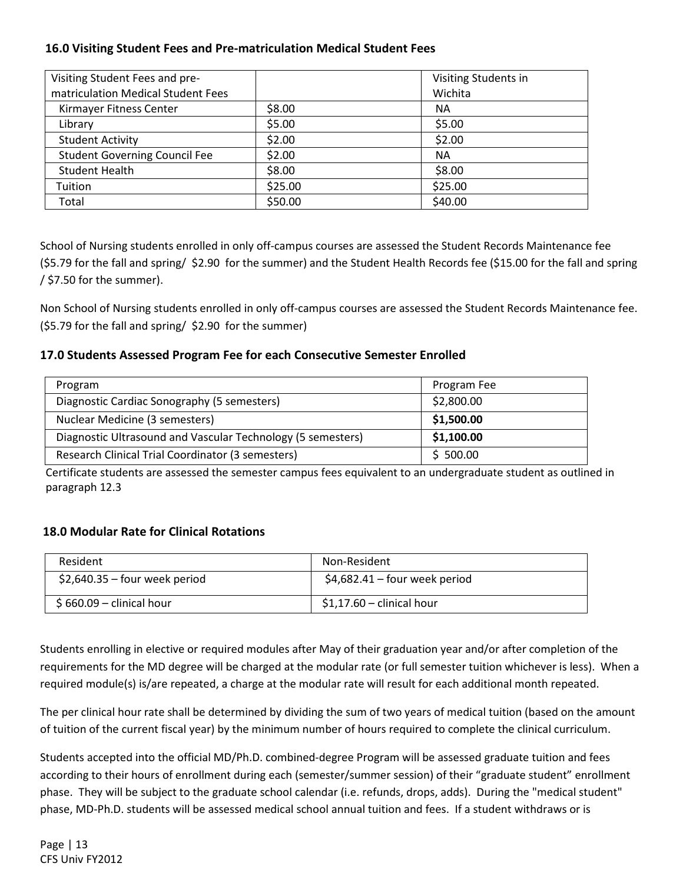# 16.0 Visiting Student Fees and Pre-matriculation Medical Student Fees

| Visiting Student Fees and pre-       |         | Visiting Students in |
|--------------------------------------|---------|----------------------|
| matriculation Medical Student Fees   |         | Wichita              |
| Kirmayer Fitness Center              | \$8.00  | <b>NA</b>            |
| Library                              | \$5.00  | \$5.00               |
| <b>Student Activity</b>              | \$2.00  | \$2.00               |
| <b>Student Governing Council Fee</b> | \$2.00  | <b>NA</b>            |
| <b>Student Health</b>                | \$8.00  | \$8.00               |
| Tuition                              | \$25.00 | \$25.00              |
| Total                                | \$50.00 | \$40.00              |

School of Nursing students enrolled in only off-campus courses are assessed the Student Records Maintenance fee (\$5.79 for the fall and spring/ \$2.90 for the summer) and the Student Health Records fee (\$15.00 for the fall and spring  $/$  \$7.50 for the summer).

Non School of Nursing students enrolled in only off-campus courses are assessed the Student Records Maintenance fee. (\$5.79 for the fall and spring/ \$2.90 for the summer)

# 17.0 Students Assessed Program Fee for each Consecutive Semester Enrolled

| Program                                                     | Program Fee |
|-------------------------------------------------------------|-------------|
| Diagnostic Cardiac Sonography (5 semesters)                 | \$2,800.00  |
| Nuclear Medicine (3 semesters)                              | \$1,500.00  |
| Diagnostic Ultrasound and Vascular Technology (5 semesters) | \$1,100.00  |
| Research Clinical Trial Coordinator (3 semesters)           | \$500.00    |

 Certificate students are assessed the semester campus fees equivalent to an undergraduate student as outlined in paragraph 12.3

# 18.0 Modular Rate for Clinical Rotations

| Resident                       | Non-Resident                   |
|--------------------------------|--------------------------------|
| $$2,640.35 -$ four week period | $$4,682.41 -$ four week period |
| $$660.09$ – clinical hour      | $$1,17.60$ – clinical hour     |

Students enrolling in elective or required modules after May of their graduation year and/or after completion of the requirements for the MD degree will be charged at the modular rate (or full semester tuition whichever is less). When a required module(s) is/are repeated, a charge at the modular rate will result for each additional month repeated.

The per clinical hour rate shall be determined by dividing the sum of two years of medical tuition (based on the amount of tuition of the current fiscal year) by the minimum number of hours required to complete the clinical curriculum.

Students accepted into the official MD/Ph.D. combined-degree Program will be assessed graduate tuition and fees according to their hours of enrollment during each (semester/summer session) of their "graduate student" enrollment phase. They will be subject to the graduate school calendar (i.e. refunds, drops, adds). During the "medical student" phase, MD-Ph.D. students will be assessed medical school annual tuition and fees. If a student withdraws or is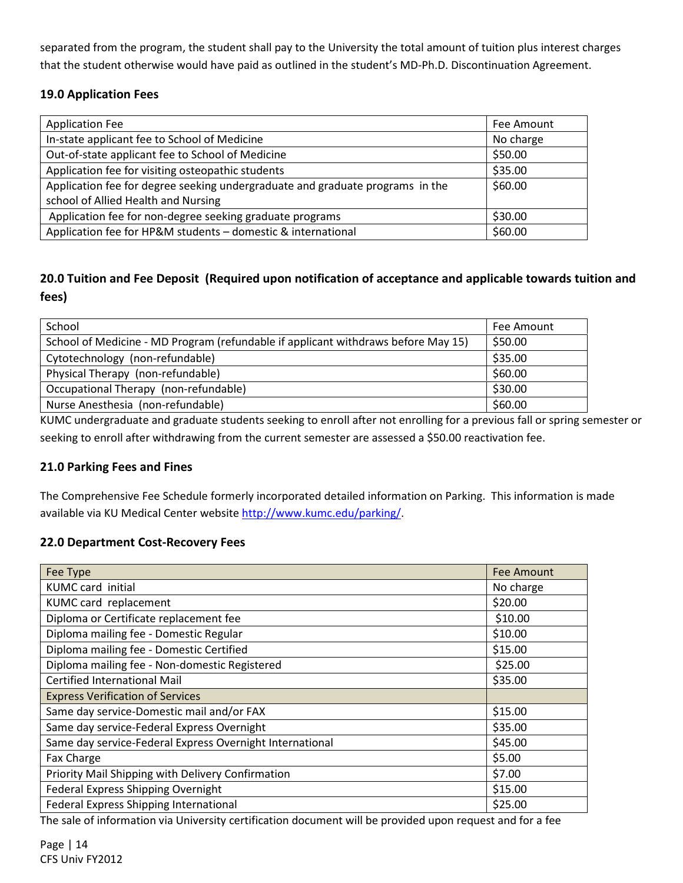separated from the program, the student shall pay to the University the total amount of tuition plus interest charges that the student otherwise would have paid as outlined in the student's MD-Ph.D. Discontinuation Agreement.

# 19.0 Application Fees

| <b>Application Fee</b>                                                        | Fee Amount |
|-------------------------------------------------------------------------------|------------|
| In-state applicant fee to School of Medicine                                  | No charge  |
| Out-of-state applicant fee to School of Medicine                              | \$50.00    |
| Application fee for visiting osteopathic students                             | \$35.00    |
| Application fee for degree seeking undergraduate and graduate programs in the | \$60.00    |
| school of Allied Health and Nursing                                           |            |
| Application fee for non-degree seeking graduate programs                      | \$30.00    |
| Application fee for HP&M students - domestic & international                  | \$60.00    |

# 20.0 Tuition and Fee Deposit (Required upon notification of acceptance and applicable towards tuition and fees)

| School                                                                            | Fee Amount |
|-----------------------------------------------------------------------------------|------------|
| School of Medicine - MD Program (refundable if applicant withdraws before May 15) | \$50.00    |
| Cytotechnology (non-refundable)                                                   | \$35.00    |
| Physical Therapy (non-refundable)                                                 | \$60.00    |
| Occupational Therapy (non-refundable)                                             | \$30.00    |
| Nurse Anesthesia (non-refundable)                                                 | \$60.00    |

KUMC undergraduate and graduate students seeking to enroll after not enrolling for a previous fall or spring semester or seeking to enroll after withdrawing from the current semester are assessed a \$50.00 reactivation fee.

# 21.0 Parking Fees and Fines

The Comprehensive Fee Schedule formerly incorporated detailed information on Parking. This information is made available via KU Medical Center website http://www.kumc.edu/parking/.

# 22.0 Department Cost-Recovery Fees

| Fee Type                                                 | Fee Amount |
|----------------------------------------------------------|------------|
| <b>KUMC</b> card initial                                 | No charge  |
| KUMC card replacement                                    | \$20.00    |
| Diploma or Certificate replacement fee                   | \$10.00    |
| Diploma mailing fee - Domestic Regular                   | \$10.00    |
| Diploma mailing fee - Domestic Certified                 | \$15.00    |
| Diploma mailing fee - Non-domestic Registered            | \$25.00    |
| <b>Certified International Mail</b>                      | \$35.00    |
| <b>Express Verification of Services</b>                  |            |
| Same day service-Domestic mail and/or FAX                | \$15.00    |
| Same day service-Federal Express Overnight               | \$35.00    |
| Same day service-Federal Express Overnight International | \$45.00    |
| Fax Charge                                               | \$5.00     |
| Priority Mail Shipping with Delivery Confirmation        | \$7.00     |
| Federal Express Shipping Overnight                       | \$15.00    |
| Federal Express Shipping International                   | \$25.00    |

The sale of information via University certification document will be provided upon request and for a fee

Page | 14 CFS Univ FY2012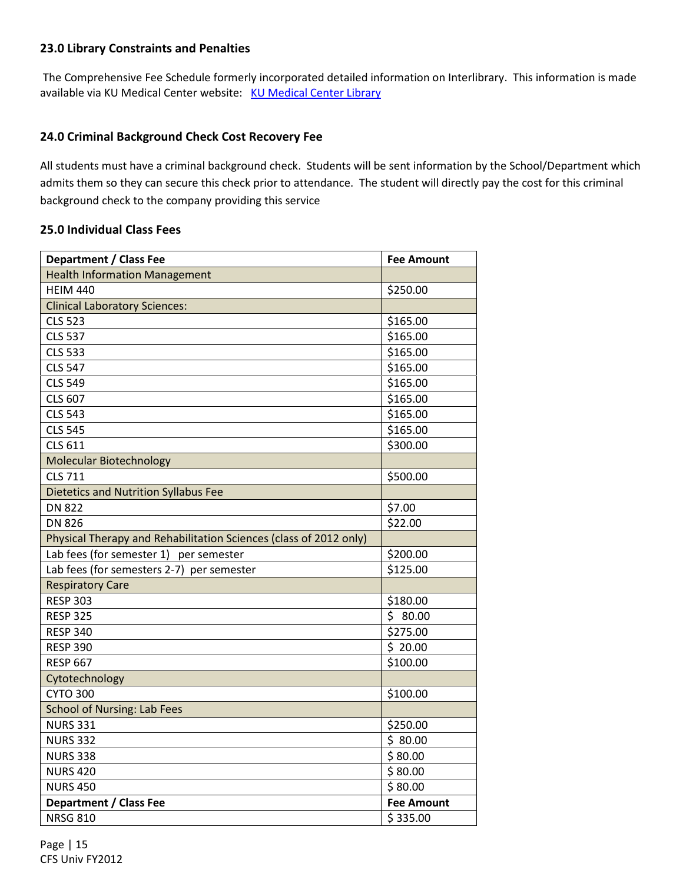# 23.0 Library Constraints and Penalties

The Comprehensive Fee Schedule formerly incorporated detailed information on Interlibrary. This information is made available via KU Medical Center website: KU Medical Center Library

# 24.0 Criminal Background Check Cost Recovery Fee

All students must have a criminal background check. Students will be sent information by the School/Department which admits them so they can secure this check prior to attendance. The student will directly pay the cost for this criminal background check to the company providing this service

### 25.0 Individual Class Fees

| <b>Department / Class Fee</b>                                     | <b>Fee Amount</b> |
|-------------------------------------------------------------------|-------------------|
| <b>Health Information Management</b>                              |                   |
| <b>HEIM 440</b>                                                   | \$250.00          |
| <b>Clinical Laboratory Sciences:</b>                              |                   |
| <b>CLS 523</b>                                                    | \$165.00          |
| <b>CLS 537</b>                                                    | \$165.00          |
| <b>CLS 533</b>                                                    | \$165.00          |
| <b>CLS 547</b>                                                    | \$165.00          |
| <b>CLS 549</b>                                                    | \$165.00          |
| <b>CLS 607</b>                                                    | \$165.00          |
| <b>CLS 543</b>                                                    | \$165.00          |
| <b>CLS 545</b>                                                    | \$165.00          |
| <b>CLS 611</b>                                                    | \$300.00          |
| <b>Molecular Biotechnology</b>                                    |                   |
| <b>CLS 711</b>                                                    | \$500.00          |
| <b>Dietetics and Nutrition Syllabus Fee</b>                       |                   |
| <b>DN 822</b>                                                     | \$7.00            |
| <b>DN 826</b>                                                     | \$22.00           |
| Physical Therapy and Rehabilitation Sciences (class of 2012 only) |                   |
| Lab fees (for semester 1) per semester                            | \$200.00          |
| Lab fees (for semesters 2-7) per semester                         | \$125.00          |
| <b>Respiratory Care</b>                                           |                   |
| <b>RESP 303</b>                                                   | \$180.00          |
| <b>RESP 325</b>                                                   | \$80.00           |
| <b>RESP 340</b>                                                   | \$275.00          |
| <b>RESP 390</b>                                                   | \$20.00           |
| <b>RESP 667</b>                                                   | \$100.00          |
| Cytotechnology                                                    |                   |
| <b>CYTO 300</b>                                                   | \$100.00          |
| <b>School of Nursing: Lab Fees</b>                                |                   |
| <b>NURS 331</b>                                                   | \$250.00          |
| <b>NURS 332</b>                                                   | \$80.00           |
| <b>NURS 338</b>                                                   | \$80.00           |
| <b>NURS 420</b>                                                   | \$80.00           |
| <b>NURS 450</b>                                                   | \$80.00           |
| <b>Department / Class Fee</b>                                     | <b>Fee Amount</b> |
| <b>NRSG 810</b>                                                   | \$335.00          |

Page | 15 CFS Univ FY2012